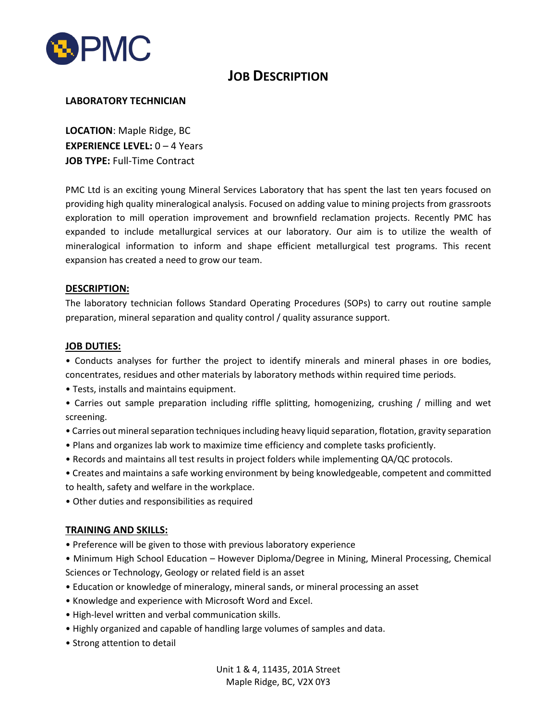

# **JOB DESCRIPTION**

## **LABORATORY TECHNICIAN**

**LOCATION**: Maple Ridge, BC **EXPERIENCE LEVEL:** 0 – 4 Years **JOB TYPE:** Full-Time Contract

PMC Ltd is an exciting young Mineral Services Laboratory that has spent the last ten years focused on providing high quality mineralogical analysis. Focused on adding value to mining projects from grassroots exploration to mill operation improvement and brownfield reclamation projects. Recently PMC has expanded to include metallurgical services at our laboratory. Our aim is to utilize the wealth of mineralogical information to inform and shape efficient metallurgical test programs. This recent expansion has created a need to grow our team.

### **DESCRIPTION:**

The laboratory technician follows Standard Operating Procedures (SOPs) to carry out routine sample preparation, mineral separation and quality control / quality assurance support.

### **JOB DUTIES:**

• Conducts analyses for further the project to identify minerals and mineral phases in ore bodies, concentrates, residues and other materials by laboratory methods within required time periods.

- Tests, installs and maintains equipment.
- Carries out sample preparation including riffle splitting, homogenizing, crushing / milling and wet screening.
- Carries out mineral separation techniques including heavy liquid separation, flotation, gravity separation
- Plans and organizes lab work to maximize time efficiency and complete tasks proficiently.
- Records and maintains all test results in project folders while implementing QA/QC protocols.
- Creates and maintains a safe working environment by being knowledgeable, competent and committed to health, safety and welfare in the workplace.
- Other duties and responsibilities as required

## **TRAINING AND SKILLS:**

- Preference will be given to those with previous laboratory experience
- Minimum High School Education However Diploma/Degree in Mining, Mineral Processing, Chemical Sciences or Technology, Geology or related field is an asset
- Education or knowledge of mineralogy, mineral sands, or mineral processing an asset
- Knowledge and experience with Microsoft Word and Excel.
- High-level written and verbal communication skills.
- Highly organized and capable of handling large volumes of samples and data.
- Strong attention to detail

Unit 1 & 4, 11435, 201A Street Maple Ridge, BC, V2X 0Y3